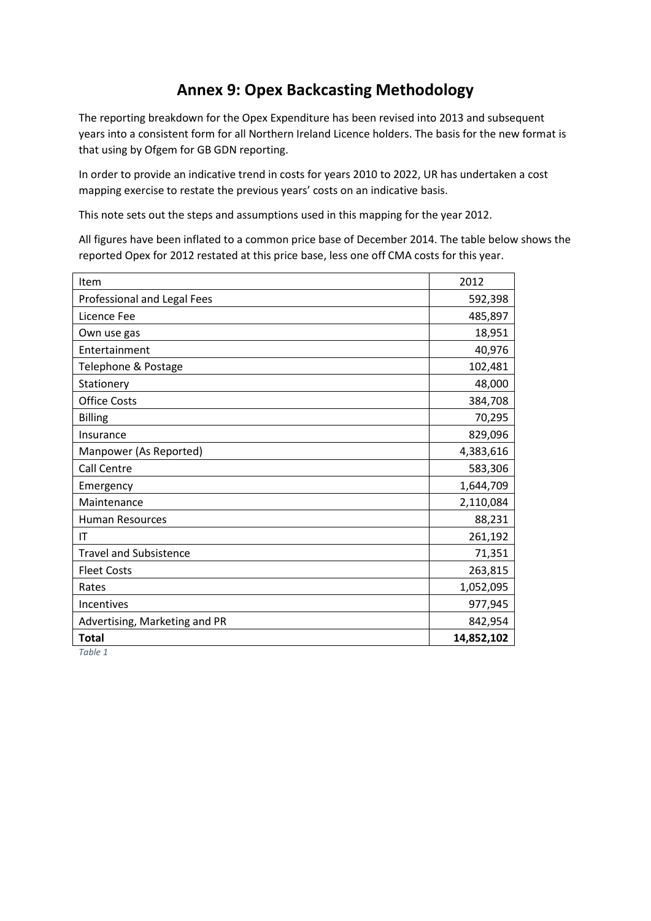# **Annex 9: Opex Backcasting Methodology**

The reporting breakdown for the Opex Expenditure has been revised into 2013 and subsequent years into a consistent form for all Northern Ireland Licence holders. The basis for the new format is that using by Ofgem for GB GDN reporting.

In order to provide an indicative trend in costs for years 2010 to 2022, UR has undertaken a cost mapping exercise to restate the previous years' costs on an indicative basis.

This note sets out the steps and assumptions used in this mapping for the year 2012.

All figures have been inflated to a common price base of December 2014. The table below shows the reported Opex for 2012 restated at this price base, less one off CMA costs for this year.

| Item                          | 2012       |
|-------------------------------|------------|
| Professional and Legal Fees   | 592,398    |
| Licence Fee                   | 485,897    |
| Own use gas                   | 18,951     |
| Entertainment                 | 40,976     |
| Telephone & Postage           | 102,481    |
| Stationery                    | 48,000     |
| <b>Office Costs</b>           | 384,708    |
| <b>Billing</b>                | 70,295     |
| Insurance                     | 829,096    |
| Manpower (As Reported)        | 4,383,616  |
| <b>Call Centre</b>            | 583,306    |
| Emergency                     | 1,644,709  |
| Maintenance                   | 2,110,084  |
| <b>Human Resources</b>        | 88,231     |
| IT                            | 261,192    |
| <b>Travel and Subsistence</b> | 71,351     |
| <b>Fleet Costs</b>            | 263,815    |
| Rates                         | 1,052,095  |
| Incentives                    | 977,945    |
| Advertising, Marketing and PR | 842,954    |
| <b>Total</b>                  | 14,852,102 |
| Table 1                       |            |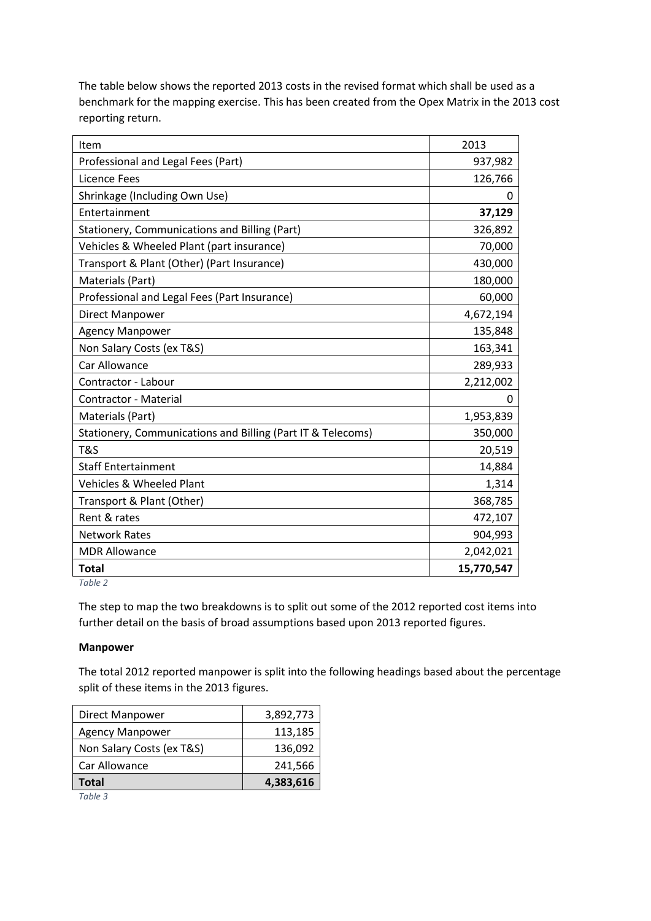The table below shows the reported 2013 costs in the revised format which shall be used as a benchmark for the mapping exercise. This has been created from the Opex Matrix in the 2013 cost reporting return.

| Item                                                        | 2013       |
|-------------------------------------------------------------|------------|
| Professional and Legal Fees (Part)                          | 937,982    |
| Licence Fees                                                | 126,766    |
| Shrinkage (Including Own Use)                               | O          |
| Entertainment                                               | 37,129     |
| Stationery, Communications and Billing (Part)               | 326,892    |
| Vehicles & Wheeled Plant (part insurance)                   | 70,000     |
| Transport & Plant (Other) (Part Insurance)                  | 430,000    |
| Materials (Part)                                            | 180,000    |
| Professional and Legal Fees (Part Insurance)                | 60,000     |
| Direct Manpower                                             | 4,672,194  |
| <b>Agency Manpower</b>                                      | 135,848    |
| Non Salary Costs (ex T&S)                                   | 163,341    |
| Car Allowance                                               | 289,933    |
| Contractor - Labour                                         | 2,212,002  |
| Contractor - Material                                       | 0          |
| Materials (Part)                                            | 1,953,839  |
| Stationery, Communications and Billing (Part IT & Telecoms) | 350,000    |
| T&S                                                         | 20,519     |
| <b>Staff Entertainment</b>                                  | 14,884     |
| Vehicles & Wheeled Plant                                    | 1,314      |
| Transport & Plant (Other)                                   | 368,785    |
| Rent & rates                                                | 472,107    |
| <b>Network Rates</b>                                        | 904,993    |
| <b>MDR Allowance</b>                                        | 2,042,021  |
| <b>Total</b>                                                | 15,770,547 |

*Table 2*

The step to map the two breakdowns is to split out some of the 2012 reported cost items into further detail on the basis of broad assumptions based upon 2013 reported figures.

### **Manpower**

The total 2012 reported manpower is split into the following headings based about the percentage split of these items in the 2013 figures.

|                           | 4,383,616 |
|---------------------------|-----------|
| Total                     |           |
| Car Allowance             | 241,566   |
| Non Salary Costs (ex T&S) | 136,092   |
| <b>Agency Manpower</b>    | 113,185   |
| Direct Manpower           | 3,892,773 |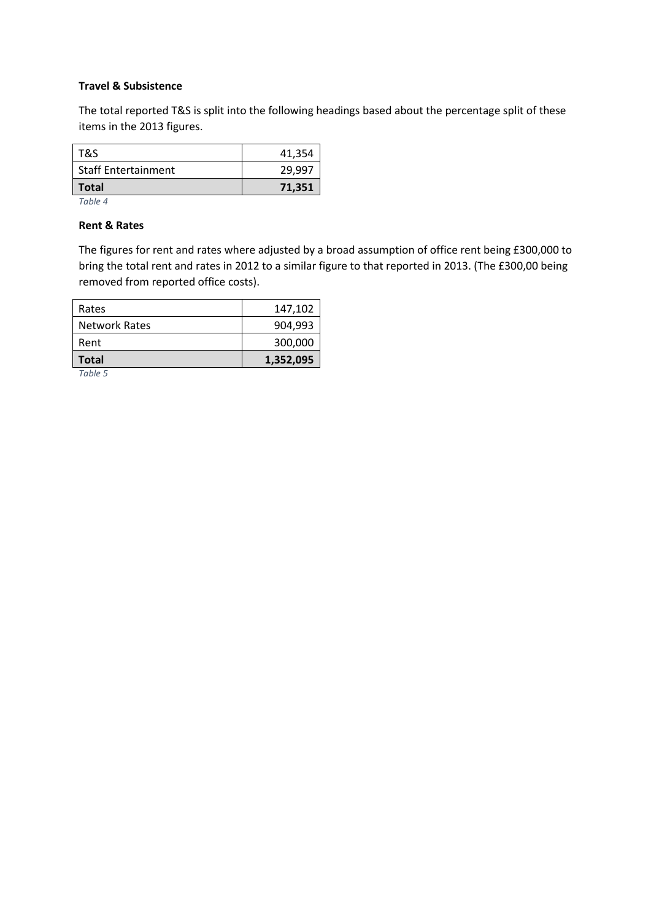### **Travel & Subsistence**

The total reported T&S is split into the following headings based about the percentage split of these items in the 2013 figures.

| <b>Total</b>               | 71,351 |
|----------------------------|--------|
| <b>Staff Entertainment</b> | 29.997 |
| T&S                        | 41,354 |

*Table 4*

#### **Rent & Rates**

The figures for rent and rates where adjusted by a broad assumption of office rent being £300,000 to bring the total rent and rates in 2012 to a similar figure to that reported in 2013. (The £300,00 being removed from reported office costs).

| <b>Total</b>         | 1,352,095 |
|----------------------|-----------|
| Rent                 | 300,000   |
| <b>Network Rates</b> | 904.993   |
| Rates                | 147,102   |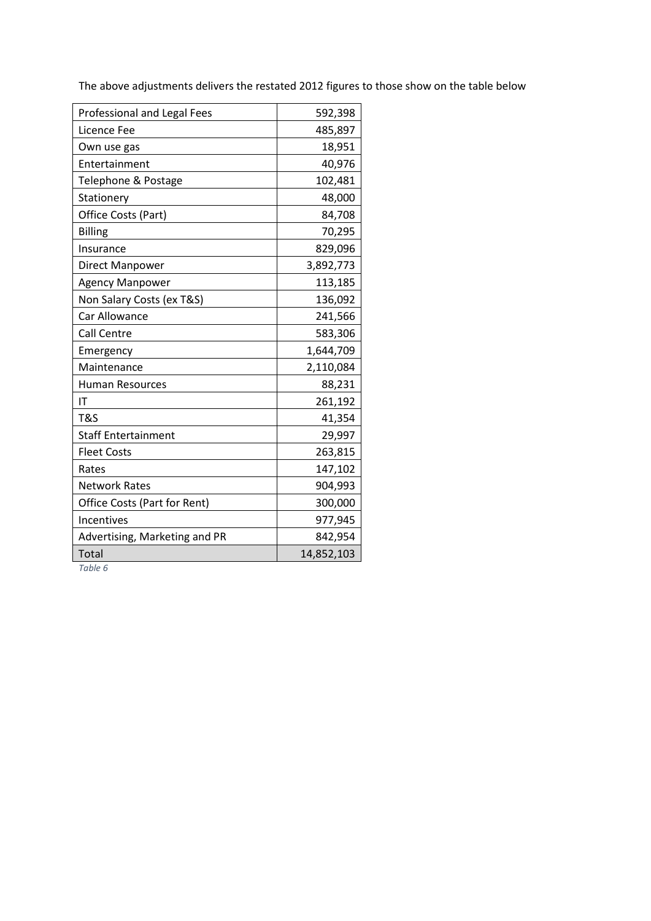The above adjustments delivers the restated 2012 figures to those show on the table below

| Professional and Legal Fees   | 592,398    |
|-------------------------------|------------|
| Licence Fee                   | 485,897    |
| Own use gas                   | 18,951     |
| Entertainment                 | 40,976     |
| Telephone & Postage           | 102,481    |
| Stationery                    | 48,000     |
| Office Costs (Part)           | 84,708     |
| <b>Billing</b>                | 70,295     |
| Insurance                     | 829,096    |
| Direct Manpower               | 3,892,773  |
| <b>Agency Manpower</b>        | 113,185    |
| Non Salary Costs (ex T&S)     | 136,092    |
| Car Allowance                 | 241,566    |
| <b>Call Centre</b>            | 583,306    |
| Emergency                     | 1,644,709  |
| Maintenance                   | 2,110,084  |
| <b>Human Resources</b>        | 88,231     |
| IT                            | 261,192    |
| T&S                           | 41,354     |
| <b>Staff Entertainment</b>    | 29,997     |
| <b>Fleet Costs</b>            | 263,815    |
| Rates                         | 147,102    |
| <b>Network Rates</b>          | 904,993    |
| Office Costs (Part for Rent)  | 300,000    |
| Incentives                    | 977,945    |
| Advertising, Marketing and PR | 842,954    |
| Total                         | 14,852,103 |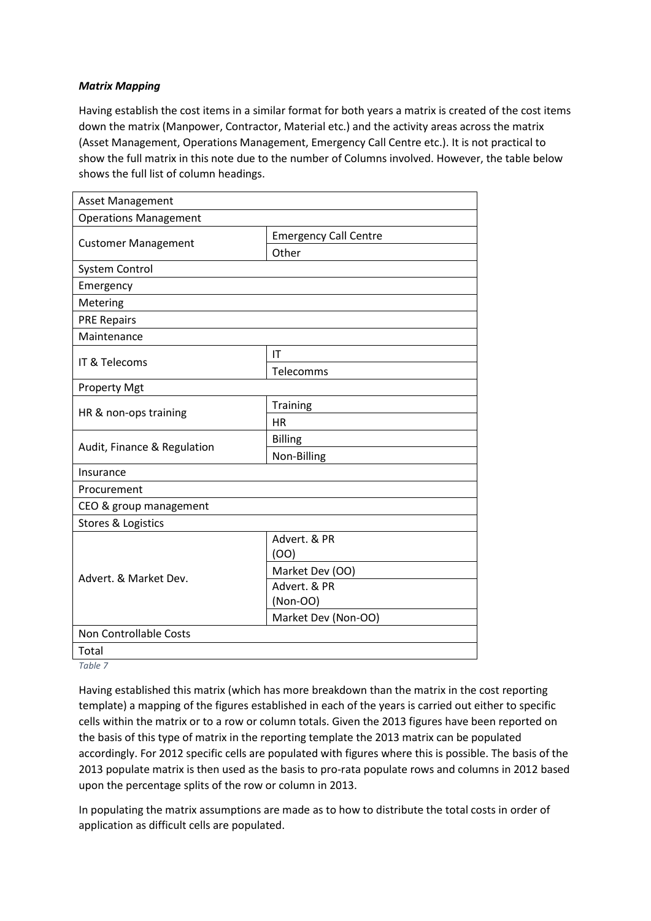## *Matrix Mapping*

Having establish the cost items in a similar format for both years a matrix is created of the cost items down the matrix (Manpower, Contractor, Material etc.) and the activity areas across the matrix (Asset Management, Operations Management, Emergency Call Centre etc.). It is not practical to show the full matrix in this note due to the number of Columns involved. However, the table below shows the full list of column headings.

| Asset Management              |                              |  |  |
|-------------------------------|------------------------------|--|--|
| <b>Operations Management</b>  |                              |  |  |
|                               | <b>Emergency Call Centre</b> |  |  |
| <b>Customer Management</b>    | Other                        |  |  |
| <b>System Control</b>         |                              |  |  |
| Emergency                     |                              |  |  |
| Metering                      |                              |  |  |
| <b>PRE Repairs</b>            |                              |  |  |
| Maintenance                   |                              |  |  |
|                               | IT                           |  |  |
| IT & Telecoms                 | Telecomms                    |  |  |
| <b>Property Mgt</b>           |                              |  |  |
|                               | Training                     |  |  |
| HR & non-ops training         | <b>HR</b>                    |  |  |
|                               | <b>Billing</b>               |  |  |
| Audit, Finance & Regulation   | Non-Billing                  |  |  |
| Insurance                     |                              |  |  |
| Procurement                   |                              |  |  |
| CEO & group management        |                              |  |  |
| <b>Stores &amp; Logistics</b> |                              |  |  |
|                               | Advert, & PR                 |  |  |
|                               | (OO)                         |  |  |
| Advert. & Market Dev.         | Market Dev (OO)              |  |  |
|                               | Advert. & PR                 |  |  |
|                               | (Non-OO)                     |  |  |
| Market Dev (Non-OO)           |                              |  |  |
| Non Controllable Costs        |                              |  |  |
| Total                         |                              |  |  |

*Table 7*

Having established this matrix (which has more breakdown than the matrix in the cost reporting template) a mapping of the figures established in each of the years is carried out either to specific cells within the matrix or to a row or column totals. Given the 2013 figures have been reported on the basis of this type of matrix in the reporting template the 2013 matrix can be populated accordingly. For 2012 specific cells are populated with figures where this is possible. The basis of the 2013 populate matrix is then used as the basis to pro-rata populate rows and columns in 2012 based upon the percentage splits of the row or column in 2013.

In populating the matrix assumptions are made as to how to distribute the total costs in order of application as difficult cells are populated.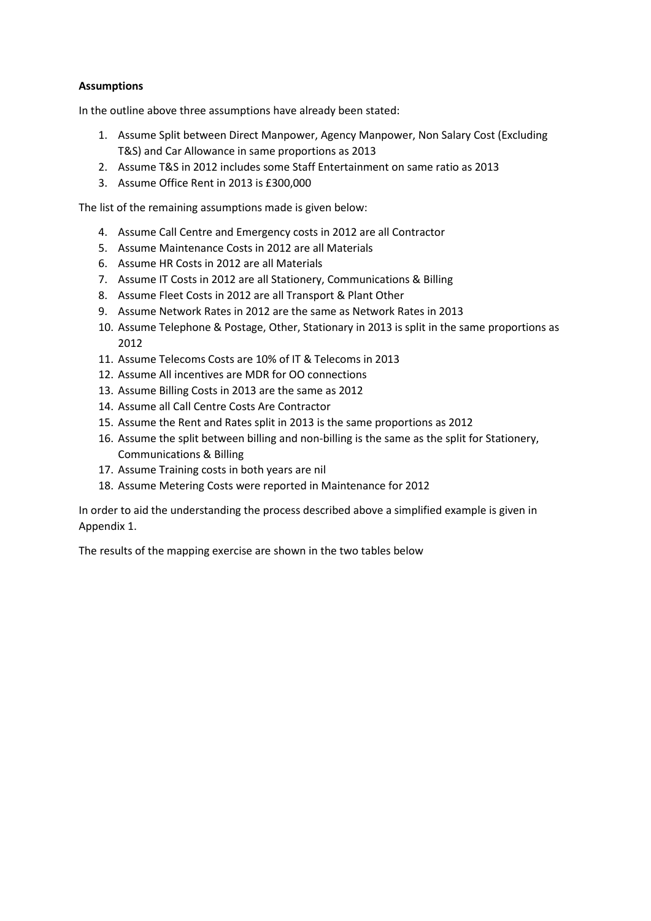## **Assumptions**

In the outline above three assumptions have already been stated:

- 1. Assume Split between Direct Manpower, Agency Manpower, Non Salary Cost (Excluding T&S) and Car Allowance in same proportions as 2013
- 2. Assume T&S in 2012 includes some Staff Entertainment on same ratio as 2013
- 3. Assume Office Rent in 2013 is £300,000

The list of the remaining assumptions made is given below:

- 4. Assume Call Centre and Emergency costs in 2012 are all Contractor
- 5. Assume Maintenance Costs in 2012 are all Materials
- 6. Assume HR Costs in 2012 are all Materials
- 7. Assume IT Costs in 2012 are all Stationery, Communications & Billing
- 8. Assume Fleet Costs in 2012 are all Transport & Plant Other
- 9. Assume Network Rates in 2012 are the same as Network Rates in 2013
- 10. Assume Telephone & Postage, Other, Stationary in 2013 is split in the same proportions as 2012
- 11. Assume Telecoms Costs are 10% of IT & Telecoms in 2013
- 12. Assume All incentives are MDR for OO connections
- 13. Assume Billing Costs in 2013 are the same as 2012
- 14. Assume all Call Centre Costs Are Contractor
- 15. Assume the Rent and Rates split in 2013 is the same proportions as 2012
- 16. Assume the split between billing and non-billing is the same as the split for Stationery, Communications & Billing
- 17. Assume Training costs in both years are nil
- 18. Assume Metering Costs were reported in Maintenance for 2012

In order to aid the understanding the process described above a simplified example is given in Appendix 1.

The results of the mapping exercise are shown in the two tables below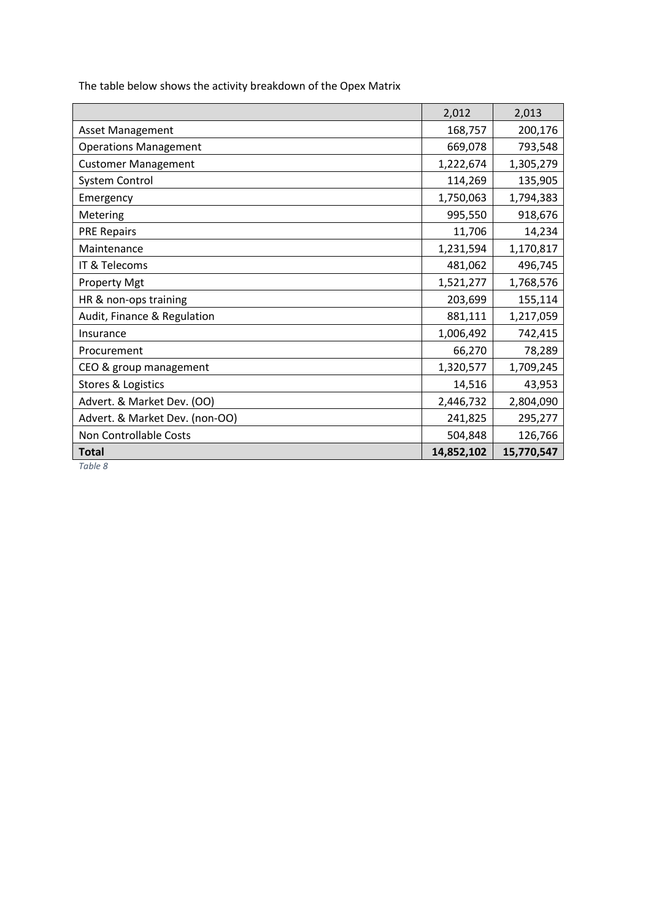|                                | 2,012      | 2,013      |
|--------------------------------|------------|------------|
| <b>Asset Management</b>        | 168,757    | 200,176    |
| <b>Operations Management</b>   | 669,078    | 793,548    |
| <b>Customer Management</b>     | 1,222,674  | 1,305,279  |
| System Control                 | 114,269    | 135,905    |
| Emergency                      | 1,750,063  | 1,794,383  |
| Metering                       | 995,550    | 918,676    |
| <b>PRE Repairs</b>             | 11,706     | 14,234     |
| Maintenance                    | 1,231,594  | 1,170,817  |
| IT & Telecoms                  | 481,062    | 496,745    |
| <b>Property Mgt</b>            | 1,521,277  | 1,768,576  |
| HR & non-ops training          | 203,699    | 155,114    |
| Audit, Finance & Regulation    | 881,111    | 1,217,059  |
| Insurance                      | 1,006,492  | 742,415    |
| Procurement                    | 66,270     | 78,289     |
| CEO & group management         | 1,320,577  | 1,709,245  |
| Stores & Logistics             | 14,516     | 43,953     |
| Advert. & Market Dev. (OO)     | 2,446,732  | 2,804,090  |
| Advert. & Market Dev. (non-OO) | 241,825    | 295,277    |
| Non Controllable Costs         | 504,848    | 126,766    |
| <b>Total</b>                   | 14,852,102 | 15,770,547 |

The table below shows the activity breakdown of the Opex Matrix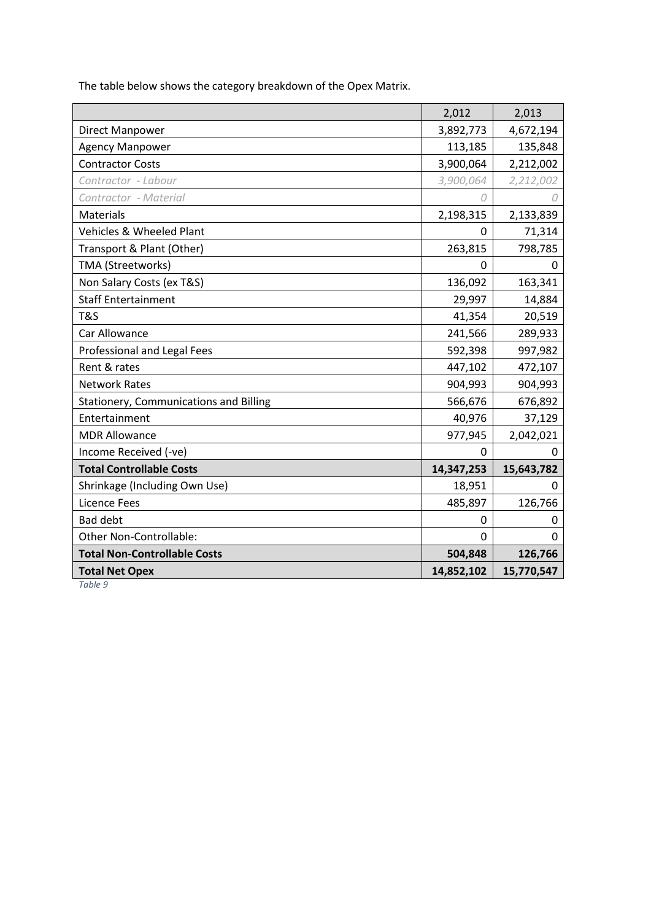|                                        | 2,012      | 2,013      |
|----------------------------------------|------------|------------|
| Direct Manpower                        | 3,892,773  | 4,672,194  |
| <b>Agency Manpower</b>                 | 113,185    | 135,848    |
| <b>Contractor Costs</b>                | 3,900,064  | 2,212,002  |
| Contractor - Labour                    | 3,900,064  | 2,212,002  |
| Contractor - Material                  | 0          | 0          |
| Materials                              | 2,198,315  | 2,133,839  |
| <b>Vehicles &amp; Wheeled Plant</b>    | $\Omega$   | 71,314     |
| Transport & Plant (Other)              | 263,815    | 798,785    |
| TMA (Streetworks)                      | 0          | 0          |
| Non Salary Costs (ex T&S)              | 136,092    | 163,341    |
| <b>Staff Entertainment</b>             | 29,997     | 14,884     |
| <b>T&amp;S</b>                         | 41,354     | 20,519     |
| Car Allowance                          | 241,566    | 289,933    |
| Professional and Legal Fees            | 592,398    | 997,982    |
| Rent & rates                           | 447,102    | 472,107    |
| <b>Network Rates</b>                   | 904,993    | 904,993    |
| Stationery, Communications and Billing | 566,676    | 676,892    |
| Entertainment                          | 40,976     | 37,129     |
| <b>MDR Allowance</b>                   | 977,945    | 2,042,021  |
| Income Received (-ve)                  | 0          | 0          |
| <b>Total Controllable Costs</b>        | 14,347,253 | 15,643,782 |
| Shrinkage (Including Own Use)          | 18,951     | 0          |
| Licence Fees                           | 485,897    | 126,766    |
| <b>Bad debt</b>                        | 0          | 0          |
| Other Non-Controllable:                | $\Omega$   | $\Omega$   |
| <b>Total Non-Controllable Costs</b>    | 504,848    | 126,766    |
| <b>Total Net Opex</b>                  | 14,852,102 | 15,770,547 |

The table below shows the category breakdown of the Opex Matrix.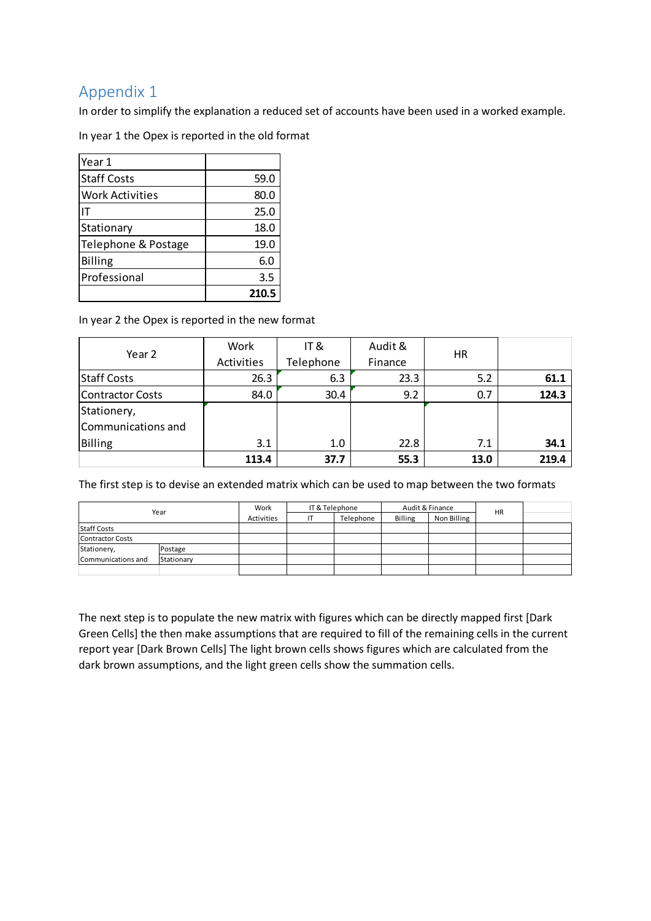# Appendix 1

In order to simplify the explanation a reduced set of accounts have been used in a worked example.

In year 1 the Opex is reported in the old format

| Year 1                 |       |
|------------------------|-------|
| <b>Staff Costs</b>     | 59.0  |
| <b>Work Activities</b> | 80.0  |
|                        | 25.0  |
| Stationary             | 18.0  |
| Telephone & Postage    | 19.0  |
| Billing                | 6.0   |
| Professional           | 3.5   |
|                        | 210.5 |

In year 2 the Opex is reported in the new format

| Year 2             | Work       | IT&       | Audit & | HR.  |       |
|--------------------|------------|-----------|---------|------|-------|
|                    | Activities | Telephone | Finance |      |       |
| <b>Staff Costs</b> | 26.3       | 6.3       | 23.3    | 5.2  | 61.1  |
| Contractor Costs   | 84.0       | 30.4      | 9.2     | 0.7  | 124.3 |
| Stationery,        |            |           |         |      |       |
| Communications and |            |           |         |      |       |
| Billing            | 3.1        | 1.0       | 22.8    | 7.1  | 34.1  |
|                    | 113.4      | 37.7      | 55.3    | 13.0 | 219.4 |

The first step is to devise an extended matrix which can be used to map between the two formats

| Year                    |            | IT & Telephone<br>Work |  | Audit & Finance |         |             |    |  |
|-------------------------|------------|------------------------|--|-----------------|---------|-------------|----|--|
|                         |            | Activities             |  | Telephone       | Billing | Non Billing | HR |  |
| <b>Staff Costs</b>      |            |                        |  |                 |         |             |    |  |
| <b>Contractor Costs</b> |            |                        |  |                 |         |             |    |  |
| Stationery,             | Postage    |                        |  |                 |         |             |    |  |
| Communications and      | Stationary |                        |  |                 |         |             |    |  |
|                         |            |                        |  |                 |         |             |    |  |

The next step is to populate the new matrix with figures which can be directly mapped first [Dark Green Cells] the then make assumptions that are required to fill of the remaining cells in the current report year [Dark Brown Cells] The light brown cells shows figures which are calculated from the dark brown assumptions, and the light green cells show the summation cells.